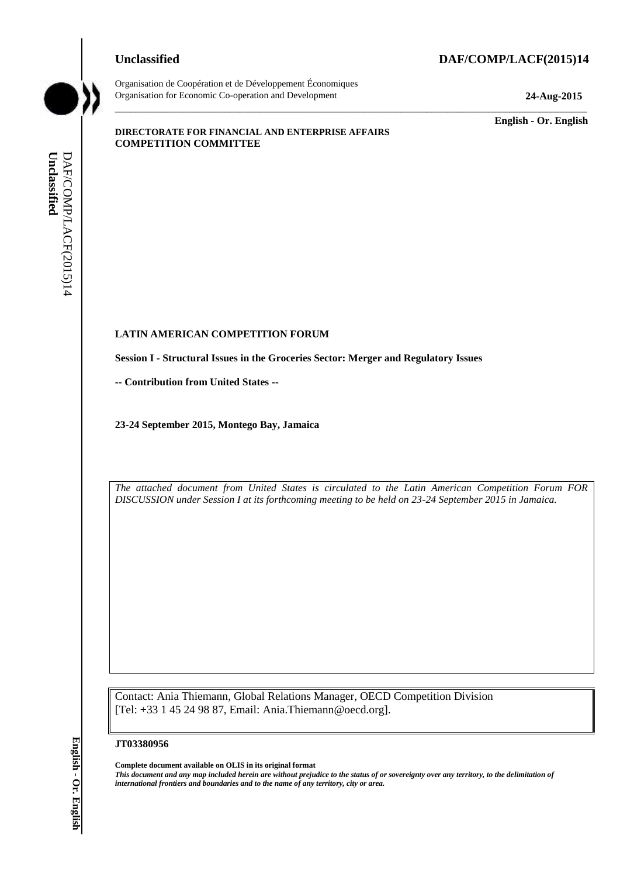#### **Unclassified DAF/COMP/LACF(2015)14**



Organisation de Coopération et de Développement Économiques Organisation for Economic Co-operation and Development **24-Aug-2015**

\_\_\_\_\_\_\_\_\_\_\_\_\_ **English - Or. English**

#### **DIRECTORATE FOR FINANCIAL AND ENTERPRISE AFFAIRS COMPETITION COMMITTEE**

## **LATIN AMERICAN COMPETITION FORUM**

**Session I - Structural Issues in the Groceries Sector: Merger and Regulatory Issues**

**-- Contribution from United States --**

**23-24 September 2015, Montego Bay, Jamaica**

*The attached document from United States is circulated to the Latin American Competition Forum FOR DISCUSSION under Session I at its forthcoming meeting to be held on 23-24 September 2015 in Jamaica.*

\_\_\_\_\_\_\_\_\_\_\_\_\_\_\_\_\_\_\_\_\_\_\_\_\_\_\_\_\_\_\_\_\_\_\_\_\_\_\_\_\_\_\_\_\_\_\_\_\_\_\_\_\_\_\_\_\_\_\_\_\_\_\_\_\_\_\_\_\_\_\_\_\_\_\_\_\_\_\_\_\_\_\_\_\_\_\_\_\_\_\_

Contact: Ania Thiemann, Global Relations Manager, OECD Competition Division [Tel: +33 1 45 24 98 87, Email: Ania.Thiemann@oecd.org].

#### **JT03380956**

**Complete document available on OLIS in its original format** *This document and any map included herein are without prejudice to the status of or sovereignty over any territory, to the delimitation of*  **ii. iii** *iii iii* **iii iii iii iii iii iii iii iii iii iii iii iii iii iii iii iii iii iii iii iii iii iii iii iii iii iii iii iii iii iii iii iii iii**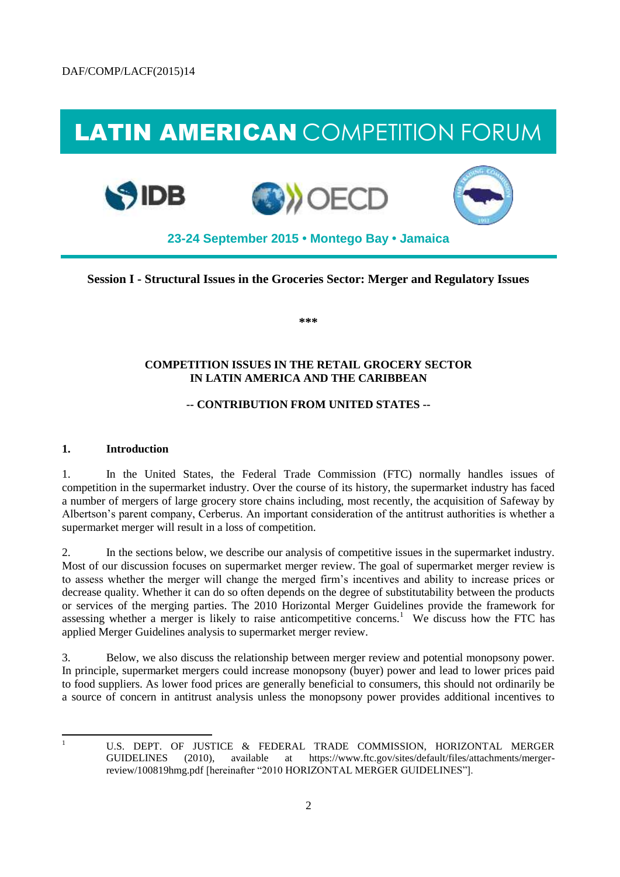# LATIN AMERICAN COMPETITION FORUM







**23-24 September 2015 • Montego Bay • Jamaica**

**Session I - Structural Issues in the Groceries Sector: Merger and Regulatory Issues** 

**\*\*\*** 

#### **COMPETITION ISSUES IN THE RETAIL GROCERY SECTOR IN LATIN AMERICA AND THE CARIBBEAN**

### **-- CONTRIBUTION FROM UNITED STATES --**

### **1. Introduction**

1. In the United States, the Federal Trade Commission (FTC) normally handles issues of competition in the supermarket industry. Over the course of its history, the supermarket industry has faced a number of mergers of large grocery store chains including, most recently, the acquisition of Safeway by Albertson's parent company, Cerberus. An important consideration of the antitrust authorities is whether a supermarket merger will result in a loss of competition.

2. In the sections below, we describe our analysis of competitive issues in the supermarket industry. Most of our discussion focuses on supermarket merger review. The goal of supermarket merger review is to assess whether the merger will change the merged firm's incentives and ability to increase prices or decrease quality. Whether it can do so often depends on the degree of substitutability between the products or services of the merging parties. The 2010 Horizontal Merger Guidelines provide the framework for assessing whether a merger is likely to raise anticompetitive concerns.<sup>1</sup> We discuss how the FTC has applied Merger Guidelines analysis to supermarket merger review.

3. Below, we also discuss the relationship between merger review and potential monopsony power. In principle, supermarket mergers could increase monopsony (buyer) power and lead to lower prices paid to food suppliers. As lower food prices are generally beneficial to consumers, this should not ordinarily be a source of concern in antitrust analysis unless the monopsony power provides additional incentives to

|<br>|<br>|

U.S. DEPT. OF JUSTICE & FEDERAL TRADE COMMISSION, HORIZONTAL MERGER GUIDELINES (2010), available at https://www.ftc.gov/sites/default/files/attachments/mergerreview/100819hmg.pdf [hereinafter "2010 HORIZONTAL MERGER GUIDELINES"].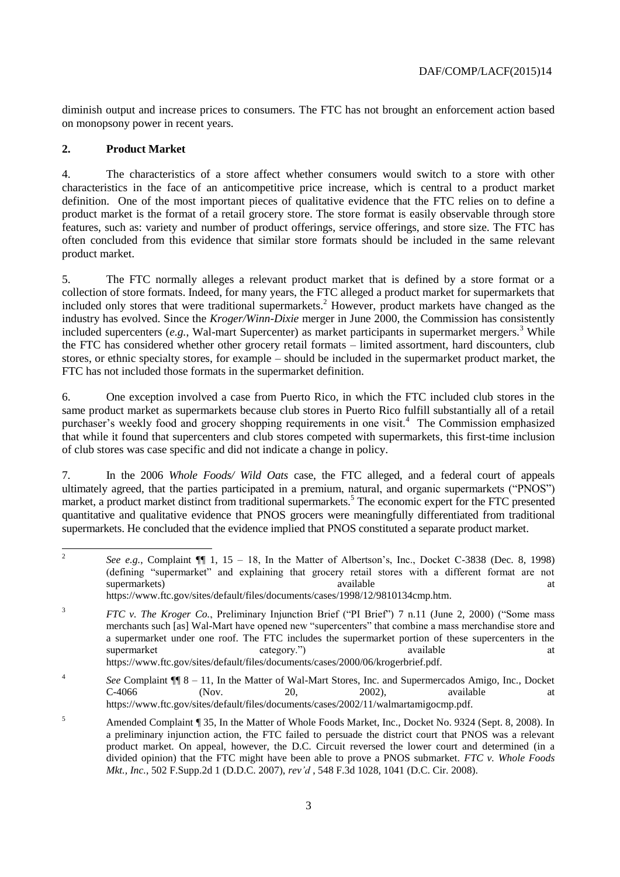diminish output and increase prices to consumers. The FTC has not brought an enforcement action based on monopsony power in recent years.

#### **2. Product Market**

4. The characteristics of a store affect whether consumers would switch to a store with other characteristics in the face of an anticompetitive price increase, which is central to a product market definition. One of the most important pieces of qualitative evidence that the FTC relies on to define a product market is the format of a retail grocery store. The store format is easily observable through store features, such as: variety and number of product offerings, service offerings, and store size. The FTC has often concluded from this evidence that similar store formats should be included in the same relevant product market.

5. The FTC normally alleges a relevant product market that is defined by a store format or a collection of store formats. Indeed, for many years, the FTC alleged a product market for supermarkets that included only stores that were traditional supermarkets.<sup>2</sup> However, product markets have changed as the industry has evolved. Since the *Kroger/Winn-Dixie* merger in June 2000, the Commission has consistently included supercenters  $(e.g., Wal-mart Supercenter)$  as market participants in supermarket mergers.<sup>3</sup> While the FTC has considered whether other grocery retail formats – limited assortment, hard discounters, club stores, or ethnic specialty stores, for example – should be included in the supermarket product market, the FTC has not included those formats in the supermarket definition.

6. One exception involved a case from Puerto Rico, in which the FTC included club stores in the same product market as supermarkets because club stores in Puerto Rico fulfill substantially all of a retail purchaser's weekly food and grocery shopping requirements in one visit.<sup>4</sup> The Commission emphasized that while it found that supercenters and club stores competed with supermarkets, this first-time inclusion of club stores was case specific and did not indicate a change in policy.

7. In the 2006 *Whole Foods/ Wild Oats* case, the FTC alleged, and a federal court of appeals ultimately agreed, that the parties participated in a premium, natural, and organic supermarkets ("PNOS") market, a product market distinct from traditional supermarkets.<sup>5</sup> The economic expert for the FTC presented quantitative and qualitative evidence that PNOS grocers were meaningfully differentiated from traditional supermarkets. He concluded that the evidence implied that PNOS constituted a separate product market.

4 *See* Complaint ¶¶ 8 – 11, In the Matter of Wal-Mart Stores, Inc. and Supermercados Amigo, Inc., Docket  $C$ -4066 (Nov. 20, 2002), available at https://www.ftc.gov/sites/default/files/documents/cases/2002/11/walmartamigocmp.pdf.

 $\frac{1}{2}$ *See e.g.*, Complaint  $\P$  1, 15 – 18, In the Matter of Albertson's, Inc., Docket C-3838 (Dec. 8, 1998) (defining "supermarket" and explaining that grocery retail stores with a different format are not supermarkets) available available at the supermarkets and the supermarkets are not at the supermarkets at  $\alpha$ https://www.ftc.gov/sites/default/files/documents/cases/1998/12/9810134cmp.htm.

<sup>&</sup>lt;sup>3</sup> *FTC v. The Kroger Co.*, Preliminary Injunction Brief ("PI Brief") 7 n.11 (June 2, 2000) ("Some mass merchants such [as] Wal-Mart have opened new "supercenters" that combine a mass merchandise store and a supermarket under one roof. The FTC includes the supermarket portion of these supercenters in the supermarket category.") available at a category." available at a variable at  $\alpha$ https://www.ftc.gov/sites/default/files/documents/cases/2000/06/krogerbrief.pdf.

<sup>5</sup> Amended Complaint ¶ 35, In the Matter of Whole Foods Market, Inc., Docket No. 9324 (Sept. 8, 2008). In a preliminary injunction action, the FTC failed to persuade the district court that PNOS was a relevant product market. On appeal, however, the D.C. Circuit reversed the lower court and determined (in a divided opinion) that the FTC might have been able to prove a PNOS submarket. *FTC v. Whole Foods Mkt., Inc.*, 502 F.Supp.2d 1 (D.D.C. 2007), *rev'd* , 548 F.3d 1028, 1041 (D.C. Cir. 2008).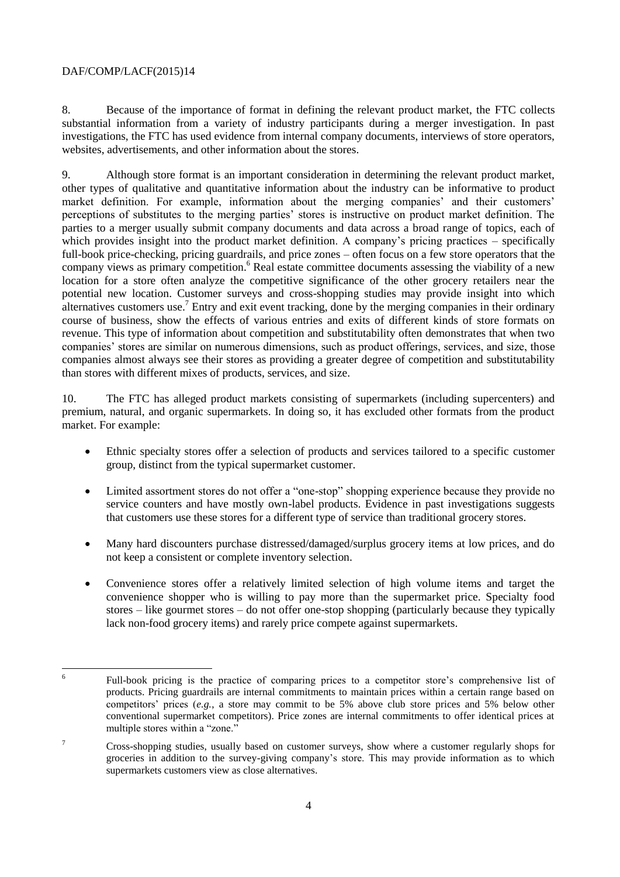8. Because of the importance of format in defining the relevant product market, the FTC collects substantial information from a variety of industry participants during a merger investigation. In past investigations, the FTC has used evidence from internal company documents, interviews of store operators, websites, advertisements, and other information about the stores.

9. Although store format is an important consideration in determining the relevant product market, other types of qualitative and quantitative information about the industry can be informative to product market definition. For example, information about the merging companies' and their customers' perceptions of substitutes to the merging parties' stores is instructive on product market definition. The parties to a merger usually submit company documents and data across a broad range of topics, each of which provides insight into the product market definition. A company's pricing practices – specifically full-book price-checking, pricing guardrails, and price zones – often focus on a few store operators that the company views as primary competition.<sup>6</sup> Real estate committee documents assessing the viability of a new location for a store often analyze the competitive significance of the other grocery retailers near the potential new location. Customer surveys and cross-shopping studies may provide insight into which alternatives customers use.<sup>7</sup> Entry and exit event tracking, done by the merging companies in their ordinary course of business, show the effects of various entries and exits of different kinds of store formats on revenue. This type of information about competition and substitutability often demonstrates that when two companies' stores are similar on numerous dimensions, such as product offerings, services, and size, those companies almost always see their stores as providing a greater degree of competition and substitutability than stores with different mixes of products, services, and size.

10. The FTC has alleged product markets consisting of supermarkets (including supercenters) and premium, natural, and organic supermarkets. In doing so, it has excluded other formats from the product market. For example:

- Ethnic specialty stores offer a selection of products and services tailored to a specific customer group, distinct from the typical supermarket customer.
- Limited assortment stores do not offer a "one-stop" shopping experience because they provide no service counters and have mostly own-label products. Evidence in past investigations suggests that customers use these stores for a different type of service than traditional grocery stores.
- Many hard discounters purchase distressed/damaged/surplus grocery items at low prices, and do not keep a consistent or complete inventory selection.
- Convenience stores offer a relatively limited selection of high volume items and target the convenience shopper who is willing to pay more than the supermarket price. Specialty food stores – like gourmet stores – do not offer one-stop shopping (particularly because they typically lack non-food grocery items) and rarely price compete against supermarkets.

 $\frac{1}{6}$ Full-book pricing is the practice of comparing prices to a competitor store's comprehensive list of products. Pricing guardrails are internal commitments to maintain prices within a certain range based on competitors' prices (*e.g.*, a store may commit to be 5% above club store prices and 5% below other conventional supermarket competitors). Price zones are internal commitments to offer identical prices at multiple stores within a "zone."

<sup>7</sup> Cross-shopping studies, usually based on customer surveys, show where a customer regularly shops for groceries in addition to the survey-giving company's store. This may provide information as to which supermarkets customers view as close alternatives.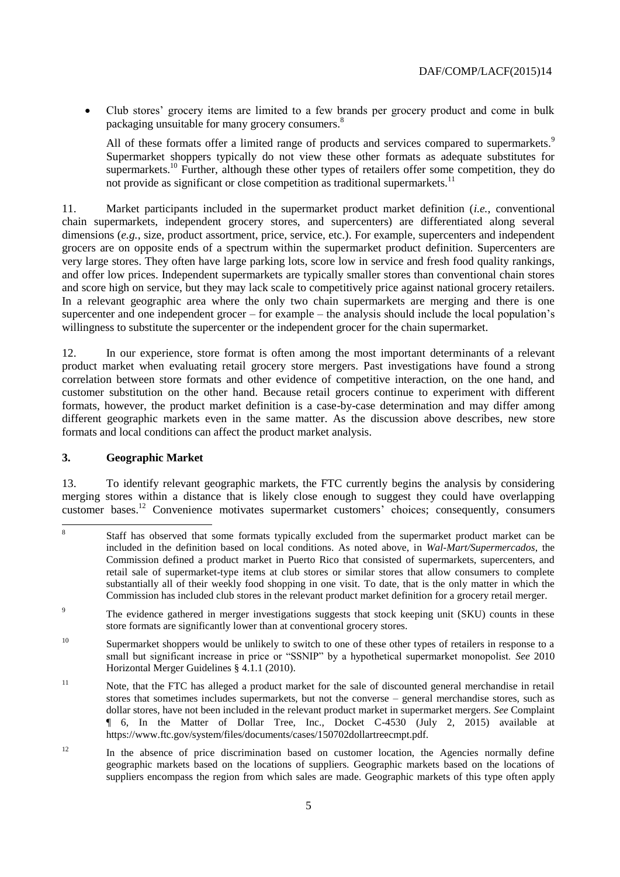Club stores' grocery items are limited to a few brands per grocery product and come in bulk packaging unsuitable for many grocery consumers.<sup>8</sup>

All of these formats offer a limited range of products and services compared to supermarkets.<sup>9</sup> Supermarket shoppers typically do not view these other formats as adequate substitutes for supermarkets.<sup>10</sup> Further, although these other types of retailers offer some competition, they do not provide as significant or close competition as traditional supermarkets.<sup>1</sup>

11. Market participants included in the supermarket product market definition (*i.e.*, conventional chain supermarkets, independent grocery stores, and supercenters) are differentiated along several dimensions (*e.g.*, size, product assortment, price, service, etc.). For example, supercenters and independent grocers are on opposite ends of a spectrum within the supermarket product definition. Supercenters are very large stores. They often have large parking lots, score low in service and fresh food quality rankings, and offer low prices. Independent supermarkets are typically smaller stores than conventional chain stores and score high on service, but they may lack scale to competitively price against national grocery retailers. In a relevant geographic area where the only two chain supermarkets are merging and there is one supercenter and one independent grocer – for example – the analysis should include the local population's willingness to substitute the supercenter or the independent grocer for the chain supermarket.

12. In our experience, store format is often among the most important determinants of a relevant product market when evaluating retail grocery store mergers. Past investigations have found a strong correlation between store formats and other evidence of competitive interaction, on the one hand, and customer substitution on the other hand. Because retail grocers continue to experiment with different formats, however, the product market definition is a case-by-case determination and may differ among different geographic markets even in the same matter. As the discussion above describes, new store formats and local conditions can affect the product market analysis.

#### **3. Geographic Market**

13. To identify relevant geographic markets, the FTC currently begins the analysis by considering merging stores within a distance that is likely close enough to suggest they could have overlapping customer bases.<sup>12</sup> Convenience motivates supermarket customers' choices; consequently, consumers

<sup>12</sup> In the absence of price discrimination based on customer location, the Agencies normally define geographic markets based on the locations of suppliers. Geographic markets based on the locations of suppliers encompass the region from which sales are made. Geographic markets of this type often apply

 8 Staff has observed that some formats typically excluded from the supermarket product market can be included in the definition based on local conditions. As noted above, in *Wal-Mart/Supermercados*, the Commission defined a product market in Puerto Rico that consisted of supermarkets, supercenters, and retail sale of supermarket-type items at club stores or similar stores that allow consumers to complete substantially all of their weekly food shopping in one visit. To date, that is the only matter in which the Commission has included club stores in the relevant product market definition for a grocery retail merger.

<sup>&</sup>lt;sup>9</sup> The evidence gathered in merger investigations suggests that stock keeping unit (SKU) counts in these store formats are significantly lower than at conventional grocery stores.

<sup>&</sup>lt;sup>10</sup> Supermarket shoppers would be unlikely to switch to one of these other types of retailers in response to a small but significant increase in price or "SSNIP" by a hypothetical supermarket monopolist. *See* 2010 Horizontal Merger Guidelines § 4.1.1 (2010).

<sup>&</sup>lt;sup>11</sup> Note, that the FTC has alleged a product market for the sale of discounted general merchandise in retail stores that sometimes includes supermarkets, but not the converse – general merchandise stores, such as dollar stores, have not been included in the relevant product market in supermarket mergers. *See* Complaint ¶ 6, In the Matter of Dollar Tree, Inc., Docket C-4530 (July 2, 2015) available at https://www.ftc.gov/system/files/documents/cases/150702dollartreecmpt.pdf.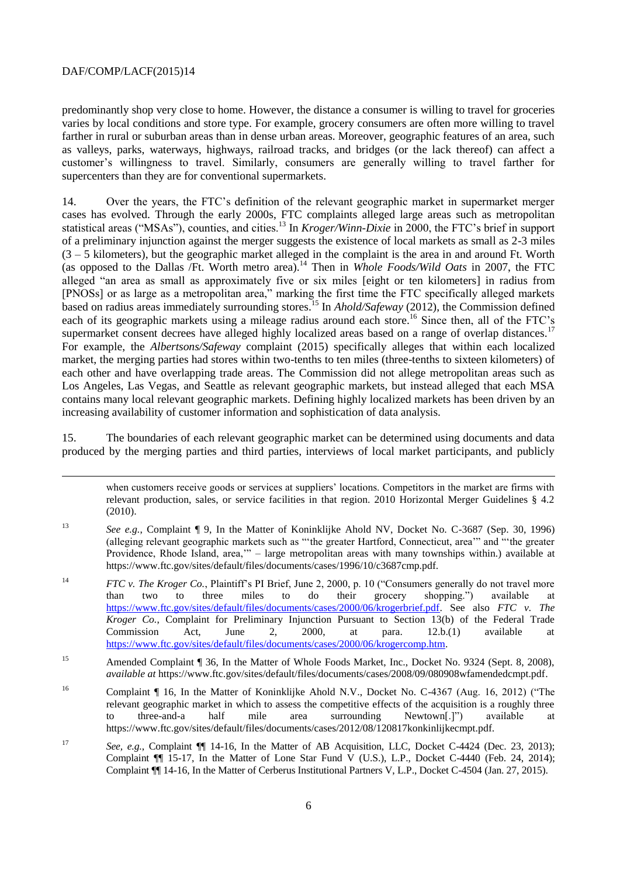predominantly shop very close to home. However, the distance a consumer is willing to travel for groceries varies by local conditions and store type. For example, grocery consumers are often more willing to travel farther in rural or suburban areas than in dense urban areas. Moreover, geographic features of an area, such as valleys, parks, waterways, highways, railroad tracks, and bridges (or the lack thereof) can affect a customer's willingness to travel. Similarly, consumers are generally willing to travel farther for supercenters than they are for conventional supermarkets.

14. Over the years, the FTC's definition of the relevant geographic market in supermarket merger cases has evolved. Through the early 2000s, FTC complaints alleged large areas such as metropolitan statistical areas ("MSAs"), counties, and cities.<sup>13</sup> In *Kroger/Winn-Dixie* in 2000, the FTC's brief in support of a preliminary injunction against the merger suggests the existence of local markets as small as 2-3 miles  $(3 - 5$  kilometers), but the geographic market alleged in the complaint is the area in and around Ft. Worth (as opposed to the Dallas /Ft. Worth metro area).<sup>14</sup> Then in *Whole Foods/Wild Oats* in 2007, the FTC alleged "an area as small as approximately five or six miles [eight or ten kilometers] in radius from [PNOSs] or as large as a metropolitan area," marking the first time the FTC specifically alleged markets based on radius areas immediately surrounding stores.<sup>15</sup> In *Ahold/Safeway* (2012), the Commission defined each of its geographic markets using a mileage radius around each store.<sup>16</sup> Since then, all of the FTC's supermarket consent decrees have alleged highly localized areas based on a range of overlap distances.<sup>17</sup> For example, the *Albertsons/Safeway* complaint (2015) specifically alleges that within each localized market, the merging parties had stores within two-tenths to ten miles (three-tenths to sixteen kilometers) of each other and have overlapping trade areas. The Commission did not allege metropolitan areas such as Los Angeles, Las Vegas, and Seattle as relevant geographic markets, but instead alleged that each MSA contains many local relevant geographic markets. Defining highly localized markets has been driven by an increasing availability of customer information and sophistication of data analysis.

15. The boundaries of each relevant geographic market can be determined using documents and data produced by the merging parties and third parties, interviews of local market participants, and publicly

when customers receive goods or services at suppliers' locations. Competitors in the market are firms with relevant production, sales, or service facilities in that region. 2010 Horizontal Merger Guidelines § 4.2 (2010).

- <sup>13</sup> *See e.g.*, Complaint ¶ 9, In the Matter of Koninklijke Ahold NV, Docket No. C-3687 (Sep. 30, 1996) (alleging relevant geographic markets such as "'the greater Hartford, Connecticut, area'" and "'the greater Providence, Rhode Island, area,'" – large metropolitan areas with many townships within.) available at https://www.ftc.gov/sites/default/files/documents/cases/1996/10/c3687cmp.pdf.
- <sup>14</sup> *FTC v. The Kroger Co.*, Plaintiff's PI Brief, June 2, 2000, p. 10 ("Consumers generally do not travel more than two to three miles to do their grocery shopping.") available at [https://www.ftc.gov/sites/default/files/documents/cases/2000/06/krogerbrief.pdf.](https://www.ftc.gov/sites/default/files/documents/cases/2000/06/krogerbrief.pdf) See also *FTC v. The Kroger Co.*, Complaint for Preliminary Injunction Pursuant to Section 13(b) of the Federal Trade Commission Act, June 2, 2000, at para. 12.b.(1) available at [https://www.ftc.gov/sites/default/files/documents/cases/2000/06/krogercomp.htm.](https://www.ftc.gov/sites/default/files/documents/cases/2000/06/krogercomp.htm)

<sup>15</sup> Amended Complaint ¶ 36, In the Matter of Whole Foods Market, Inc., Docket No. 9324 (Sept. 8, 2008), *available at* https://www.ftc.gov/sites/default/files/documents/cases/2008/09/080908wfamendedcmpt.pdf.

- <sup>16</sup> Complaint ¶ 16, In the Matter of Koninklijke Ahold N.V., Docket No. C-4367 (Aug. 16, 2012) ("The relevant geographic market in which to assess the competitive effects of the acquisition is a roughly three to three-and-a half mile area surrounding Newtown[.]") available https://www.ftc.gov/sites/default/files/documents/cases/2012/08/120817konkinlijkecmpt.pdf.
- <sup>17</sup> *See, e.g.*, Complaint  $\P$  14-16, In the Matter of AB Acquisition, LLC, Docket C-4424 (Dec. 23, 2013); Complaint  $\P$  15-17, In the Matter of Lone Star Fund V (U.S.), L.P., Docket C-4440 (Feb. 24, 2014); Complaint ¶¶ 14-16, In the Matter of Cerberus Institutional Partners V, L.P., Docket C-4504 (Jan. 27, 2015).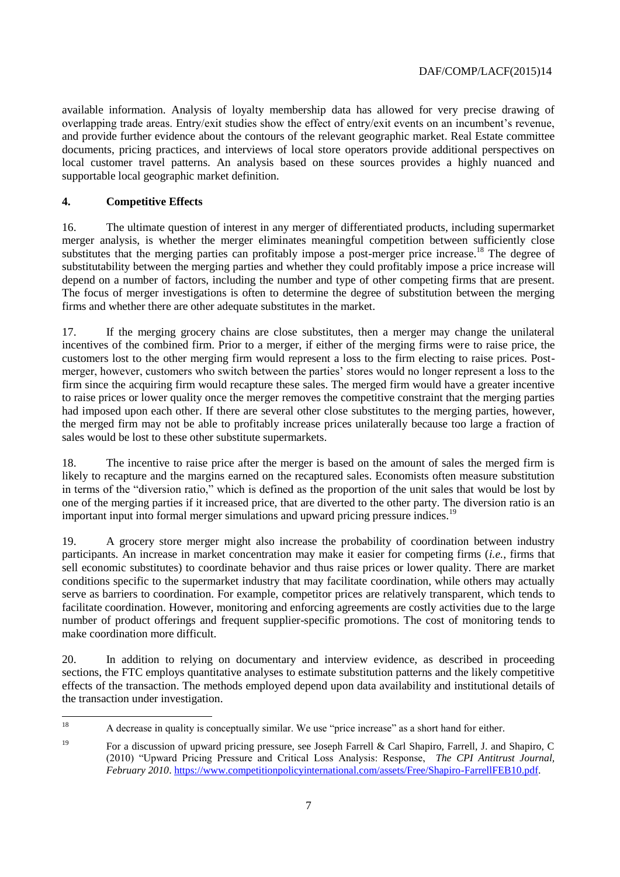available information. Analysis of loyalty membership data has allowed for very precise drawing of overlapping trade areas. Entry/exit studies show the effect of entry/exit events on an incumbent's revenue, and provide further evidence about the contours of the relevant geographic market. Real Estate committee documents, pricing practices, and interviews of local store operators provide additional perspectives on local customer travel patterns. An analysis based on these sources provides a highly nuanced and supportable local geographic market definition.

### **4. Competitive Effects**

16. The ultimate question of interest in any merger of differentiated products, including supermarket merger analysis, is whether the merger eliminates meaningful competition between sufficiently close substitutes that the merging parties can profitably impose a post-merger price increase.<sup>18</sup> The degree of substitutability between the merging parties and whether they could profitably impose a price increase will depend on a number of factors, including the number and type of other competing firms that are present. The focus of merger investigations is often to determine the degree of substitution between the merging firms and whether there are other adequate substitutes in the market.

17. If the merging grocery chains are close substitutes, then a merger may change the unilateral incentives of the combined firm. Prior to a merger, if either of the merging firms were to raise price, the customers lost to the other merging firm would represent a loss to the firm electing to raise prices. Postmerger, however, customers who switch between the parties' stores would no longer represent a loss to the firm since the acquiring firm would recapture these sales. The merged firm would have a greater incentive to raise prices or lower quality once the merger removes the competitive constraint that the merging parties had imposed upon each other. If there are several other close substitutes to the merging parties, however, the merged firm may not be able to profitably increase prices unilaterally because too large a fraction of sales would be lost to these other substitute supermarkets.

18. The incentive to raise price after the merger is based on the amount of sales the merged firm is likely to recapture and the margins earned on the recaptured sales. Economists often measure substitution in terms of the "diversion ratio," which is defined as the proportion of the unit sales that would be lost by one of the merging parties if it increased price, that are diverted to the other party. The diversion ratio is an important input into formal merger simulations and upward pricing pressure indices.<sup>19</sup>

19. A grocery store merger might also increase the probability of coordination between industry participants. An increase in market concentration may make it easier for competing firms (*i.e.*, firms that sell economic substitutes) to coordinate behavior and thus raise prices or lower quality. There are market conditions specific to the supermarket industry that may facilitate coordination, while others may actually serve as barriers to coordination. For example, competitor prices are relatively transparent, which tends to facilitate coordination. However, monitoring and enforcing agreements are costly activities due to the large number of product offerings and frequent supplier-specific promotions. The cost of monitoring tends to make coordination more difficult.

20. In addition to relying on documentary and interview evidence, as described in proceeding sections, the FTC employs quantitative analyses to estimate substitution patterns and the likely competitive effects of the transaction. The methods employed depend upon data availability and institutional details of the transaction under investigation.

<sup>18</sup> <sup>18</sup> A decrease in quality is conceptually similar. We use "price increase" as a short hand for either.

<sup>19</sup> For a discussion of upward pricing pressure, see Joseph Farrell & Carl Shapiro, Farrell, J. and Shapiro, C (2010) "Upward Pricing Pressure and Critical Loss Analysis: Response, *The CPI Antitrust Journal, February 2010*. [https://www.competitionpolicyinternational.com/assets/Free/Shapiro-FarrellFEB10.pdf.](https://www.competitionpolicyinternational.com/assets/Free/Shapiro-FarrellFEB10.pdf)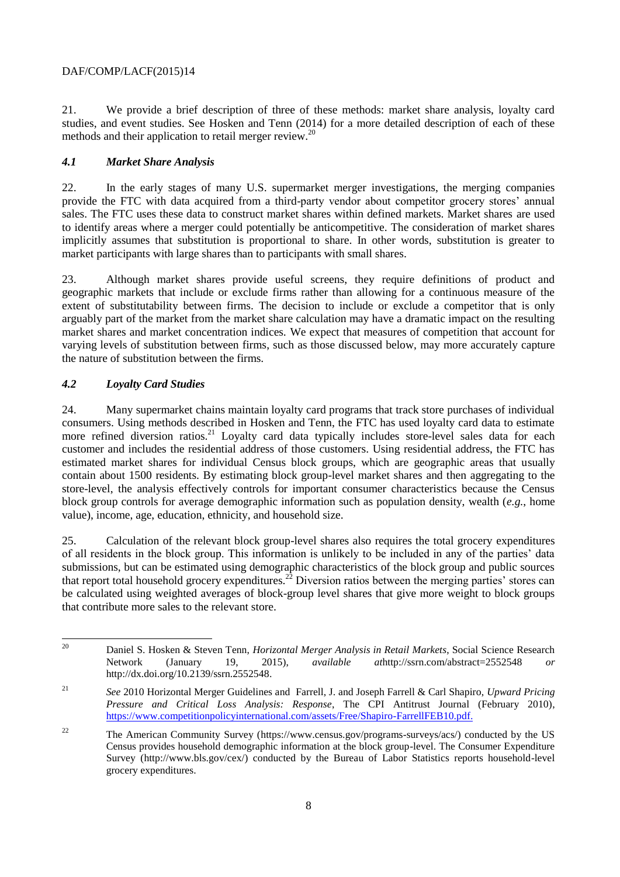21. We provide a brief description of three of these methods: market share analysis, loyalty card studies, and event studies. See Hosken and Tenn (2014) for a more detailed description of each of these methods and their application to retail merger review.<sup>20</sup>

#### *4.1 Market Share Analysis*

22. In the early stages of many U.S. supermarket merger investigations, the merging companies provide the FTC with data acquired from a third-party vendor about competitor grocery stores' annual sales. The FTC uses these data to construct market shares within defined markets. Market shares are used to identify areas where a merger could potentially be anticompetitive. The consideration of market shares implicitly assumes that substitution is proportional to share. In other words, substitution is greater to market participants with large shares than to participants with small shares.

23. Although market shares provide useful screens, they require definitions of product and geographic markets that include or exclude firms rather than allowing for a continuous measure of the extent of substitutability between firms. The decision to include or exclude a competitor that is only arguably part of the market from the market share calculation may have a dramatic impact on the resulting market shares and market concentration indices. We expect that measures of competition that account for varying levels of substitution between firms, such as those discussed below, may more accurately capture the nature of substitution between the firms.

### *4.2 Loyalty Card Studies*

24. Many supermarket chains maintain loyalty card programs that track store purchases of individual consumers. Using methods described in Hosken and Tenn, the FTC has used loyalty card data to estimate more refined diversion ratios.<sup>21</sup> Loyalty card data typically includes store-level sales data for each customer and includes the residential address of those customers. Using residential address, the FTC has estimated market shares for individual Census block groups, which are geographic areas that usually contain about 1500 residents. By estimating block group-level market shares and then aggregating to the store-level, the analysis effectively controls for important consumer characteristics because the Census block group controls for average demographic information such as population density, wealth (*e.g.*, home value), income, age, education, ethnicity, and household size.

25. Calculation of the relevant block group-level shares also requires the total grocery expenditures of all residents in the block group. This information is unlikely to be included in any of the parties' data submissions, but can be estimated using demographic characteristics of the block group and public sources that report total household grocery expenditures.<sup>22</sup> Diversion ratios between the merging parties' stores can be calculated using weighted averages of block-group level shares that give more weight to block groups that contribute more sales to the relevant store.

<sup>20</sup> <sup>20</sup> Daniel S. Hosken & Steven Tenn, *Horizontal Merger Analysis in Retail Markets*, Social Science Research Network (January 19, 2015), *available at*http://ssrn.com/abstract=2552548 *or* http://dx.doi.org/10.2139/ssrn.2552548.

<sup>21</sup> *See* 2010 Horizontal Merger Guidelines and Farrell, J. and Joseph Farrell & Carl Shapiro, *Upward Pricing Pressure and Critical Loss Analysis: Response*, The CPI Antitrust Journal (February 2010), [https://www.competitionpolicyinternational.com/assets/Free/Shapiro-FarrellFEB10.pdf.](https://www.competitionpolicyinternational.com/assets/Free/Shapiro-FarrellFEB10.pdf)

<sup>&</sup>lt;sup>22</sup> The American Community Survey (https://www.census.gov/programs-surveys/acs/) conducted by the US Census provides household demographic information at the block group-level. The Consumer Expenditure Survey (http://www.bls.gov/cex/) conducted by the Bureau of Labor Statistics reports household-level grocery expenditures.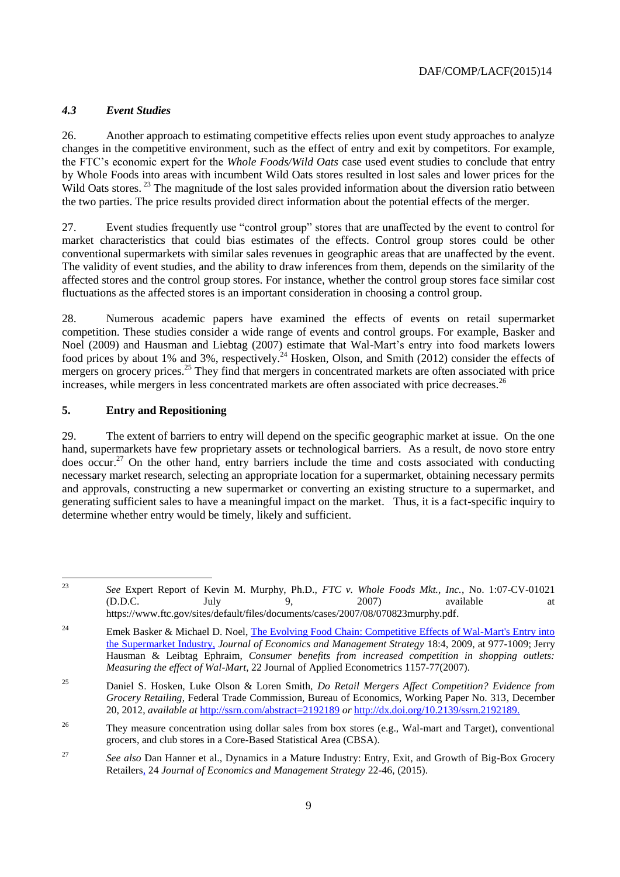#### *4.3 Event Studies*

26. Another approach to estimating competitive effects relies upon event study approaches to analyze changes in the competitive environment, such as the effect of entry and exit by competitors. For example, the FTC's economic expert for the *Whole Foods/Wild Oats* case used event studies to conclude that entry by Whole Foods into areas with incumbent Wild Oats stores resulted in lost sales and lower prices for the Wild Oats stores.<sup>23</sup> The magnitude of the lost sales provided information about the diversion ratio between the two parties. The price results provided direct information about the potential effects of the merger.

27. Event studies frequently use "control group" stores that are unaffected by the event to control for market characteristics that could bias estimates of the effects. Control group stores could be other conventional supermarkets with similar sales revenues in geographic areas that are unaffected by the event. The validity of event studies, and the ability to draw inferences from them, depends on the similarity of the affected stores and the control group stores. For instance, whether the control group stores face similar cost fluctuations as the affected stores is an important consideration in choosing a control group.

28. Numerous academic papers have examined the effects of events on retail supermarket competition. These studies consider a wide range of events and control groups. For example, Basker and Noel (2009) and Hausman and Liebtag (2007) estimate that Wal-Mart's entry into food markets lowers food prices by about 1% and 3%, respectively.<sup>24</sup> Hosken, Olson, and Smith (2012) consider the effects of mergers on grocery prices.<sup>25</sup> They find that mergers in concentrated markets are often associated with price increases, while mergers in less concentrated markets are often associated with price decreases.<sup>26</sup>

#### **5. Entry and Repositioning**

29. The extent of barriers to entry will depend on the specific geographic market at issue. On the one hand, supermarkets have few proprietary assets or technological barriers. As a result, de novo store entry does occur.<sup>27</sup> On the other hand, entry barriers include the time and costs associated with conducting necessary market research, selecting an appropriate location for a supermarket, obtaining necessary permits and approvals, constructing a new supermarket or converting an existing structure to a supermarket, and generating sufficient sales to have a meaningful impact on the market. Thus, it is a fact-specific inquiry to determine whether entry would be timely, likely and sufficient.

 $23$ <sup>23</sup> *See* Expert Report of Kevin M. Murphy, Ph.D., *FTC v. Whole Foods Mkt., Inc.*, No. 1:07-CV-01021 (D.D.C. July 9, 2007) available at https://www.ftc.gov/sites/default/files/documents/cases/2007/08/070823murphy.pdf.

<sup>&</sup>lt;sup>24</sup> Emek Basker & Michael D. Noel, The Evolving Food Chain: Competitive Effects of Wal-Mart's Entry into [the Supermarket Industry,](http://econweb.ucsd.edu/~mdnoel/research/NOEL_foodchain.pdf) *Journal of Economics and Management Strategy* 18:4, 2009, at 977-1009; Jerry Hausman & Leibtag Ephraim, *Consumer benefits from increased competition in shopping outlets: Measuring the effect of Wal-Mart*, 22 Journal of Applied Econometrics 1157-77(2007).

<sup>25</sup> Daniel S. Hosken, Luke Olson & Loren Smith, *Do Retail Mergers Affect Competition? Evidence from Grocery Retailing*, Federal Trade Commission, Bureau of Economics, Working Paper No. 313, December 20, 2012, *available at* <http://ssrn.com/abstract=2192189> *or* <http://dx.doi.org/10.2139/ssrn.2192189.>

<sup>&</sup>lt;sup>26</sup> They measure concentration using dollar sales from box stores (e.g., Wal-mart and Target), conventional grocers, and club stores in a Core-Based Statistical Area (CBSA).

<sup>27</sup> *See also* Dan Hanner et al., Dynamics in a Mature Industry: Entry, Exit, and Growth of Big-Box Grocery Retailer[s,](http://econweb.ucsd.edu/~mdnoel/research/NOEL_foodchain.pdf) 24 *Journal of Economics and Management Strategy* 22-46, (2015).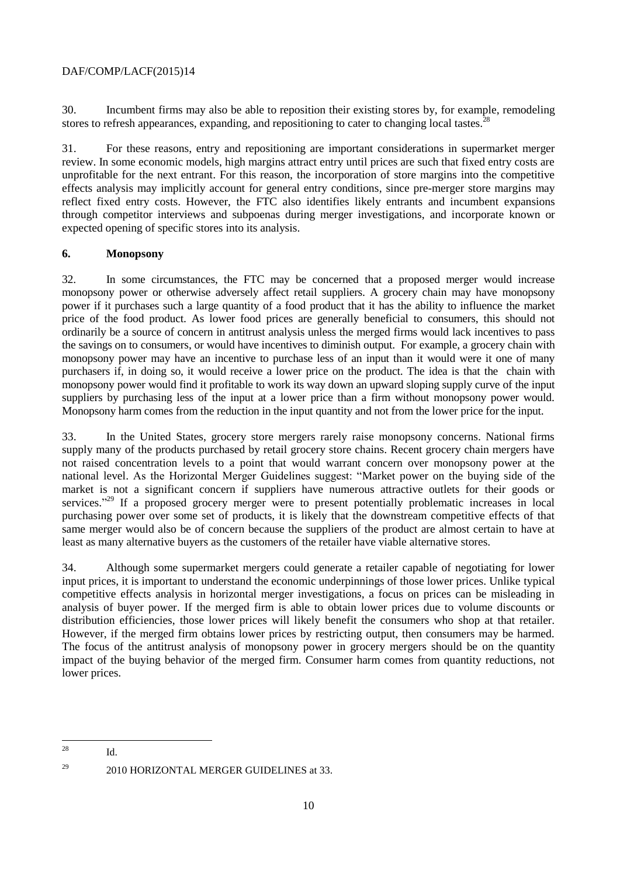30. Incumbent firms may also be able to reposition their existing stores by, for example, remodeling stores to refresh appearances, expanding, and repositioning to cater to changing local tastes.<sup>2</sup>

31. For these reasons, entry and repositioning are important considerations in supermarket merger review. In some economic models, high margins attract entry until prices are such that fixed entry costs are unprofitable for the next entrant. For this reason, the incorporation of store margins into the competitive effects analysis may implicitly account for general entry conditions, since pre-merger store margins may reflect fixed entry costs. However, the FTC also identifies likely entrants and incumbent expansions through competitor interviews and subpoenas during merger investigations, and incorporate known or expected opening of specific stores into its analysis.

#### **6. Monopsony**

32. In some circumstances, the FTC may be concerned that a proposed merger would increase monopsony power or otherwise adversely affect retail suppliers. A grocery chain may have monopsony power if it purchases such a large quantity of a food product that it has the ability to influence the market price of the food product. As lower food prices are generally beneficial to consumers, this should not ordinarily be a source of concern in antitrust analysis unless the merged firms would lack incentives to pass the savings on to consumers, or would have incentives to diminish output. For example, a grocery chain with monopsony power may have an incentive to purchase less of an input than it would were it one of many purchasers if, in doing so, it would receive a lower price on the product. The idea is that the chain with monopsony power would find it profitable to work its way down an upward sloping supply curve of the input suppliers by purchasing less of the input at a lower price than a firm without monopsony power would. Monopsony harm comes from the reduction in the input quantity and not from the lower price for the input.

33. In the United States, grocery store mergers rarely raise monopsony concerns. National firms supply many of the products purchased by retail grocery store chains. Recent grocery chain mergers have not raised concentration levels to a point that would warrant concern over monopsony power at the national level. As the Horizontal Merger Guidelines suggest: "Market power on the buying side of the market is not a significant concern if suppliers have numerous attractive outlets for their goods or services."<sup>29</sup> If a proposed grocery merger were to present potentially problematic increases in local purchasing power over some set of products, it is likely that the downstream competitive effects of that same merger would also be of concern because the suppliers of the product are almost certain to have at least as many alternative buyers as the customers of the retailer have viable alternative stores.

34. Although some supermarket mergers could generate a retailer capable of negotiating for lower input prices, it is important to understand the economic underpinnings of those lower prices. Unlike typical competitive effects analysis in horizontal merger investigations, a focus on prices can be misleading in analysis of buyer power. If the merged firm is able to obtain lower prices due to volume discounts or distribution efficiencies, those lower prices will likely benefit the consumers who shop at that retailer. However, if the merged firm obtains lower prices by restricting output, then consumers may be harmed. The focus of the antitrust analysis of monopsony power in grocery mergers should be on the quantity impact of the buying behavior of the merged firm. Consumer harm comes from quantity reductions, not lower prices.

 $28$  $Id.$ 

 $^{29}$  2010 HORIZONTAL MERGER GUIDELINES at 33.